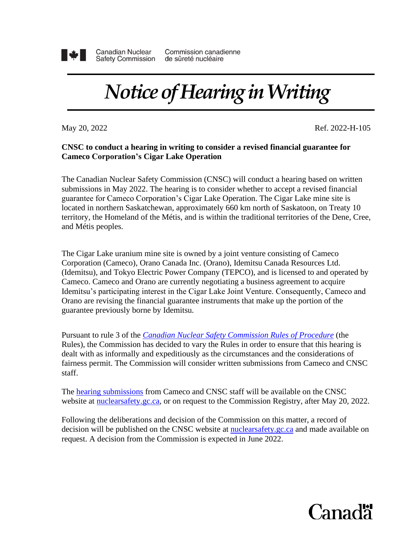

**Canadian Nuclear Safety Commission** 

Commission canadienne de sûreté nucléaire

## *Notice of Hearing in Writing*

May 20, 2022 **Ref.** 2022-H-105

## **CNSC to conduct a hearing in writing to consider a revised financial guarantee for Cameco Corporation's Cigar Lake Operation**

The Canadian Nuclear Safety Commission (CNSC) will conduct a hearing based on written submissions in May 2022. The hearing is to consider whether to accept a revised financial guarantee for Cameco Corporation's Cigar Lake Operation. The Cigar Lake mine site is located in northern Saskatchewan, approximately 660 km north of Saskatoon, on Treaty 10 territory, the Homeland of the Métis, and is within the traditional territories of the Dene, Cree, and Métis peoples.

The Cigar Lake uranium mine site is owned by a joint venture consisting of Cameco Corporation (Cameco), Orano Canada Inc. (Orano), Idemitsu Canada Resources Ltd. (Idemitsu), and Tokyo Electric Power Company (TEPCO), and is licensed to and operated by Cameco. Cameco and Orano are currently negotiating a business agreement to acquire Idemitsu's participating interest in the Cigar Lake Joint Venture. Consequently, Cameco and Orano are revising the financial guarantee instruments that make up the portion of the guarantee previously borne by Idemitsu.

Pursuant to rule 3 of the *[Canadian Nuclear Safety Commission Rules of Procedure](https://laws-lois.justice.gc.ca/eng/regulations/SOR-2000-211/FullText.html)* (the Rules), the Commission has decided to vary the Rules in order to ensure that this hearing is dealt with as informally and expeditiously as the circumstances and the considerations of fairness permit. The Commission will consider written submissions from Cameco and CNSC staff.

The [hearing submissions](http://www.nuclearsafety.gc.ca/eng/the-commission/hearings/cmd/index.cfm) from Cameco and CNSC staff will be available on the CNSC website at [nuclearsafety.gc.ca,](http://www.nuclearsafety.gc.ca/) or on request to the Commission Registry, after May 20, 2022.

Following the deliberations and decision of the Commission on this matter, a record of decision will be published on the CNSC website at [nuclearsafety.gc.ca](http://nuclearsafety.gc.ca/) and made available on request. A decision from the Commission is expected in June 2022.